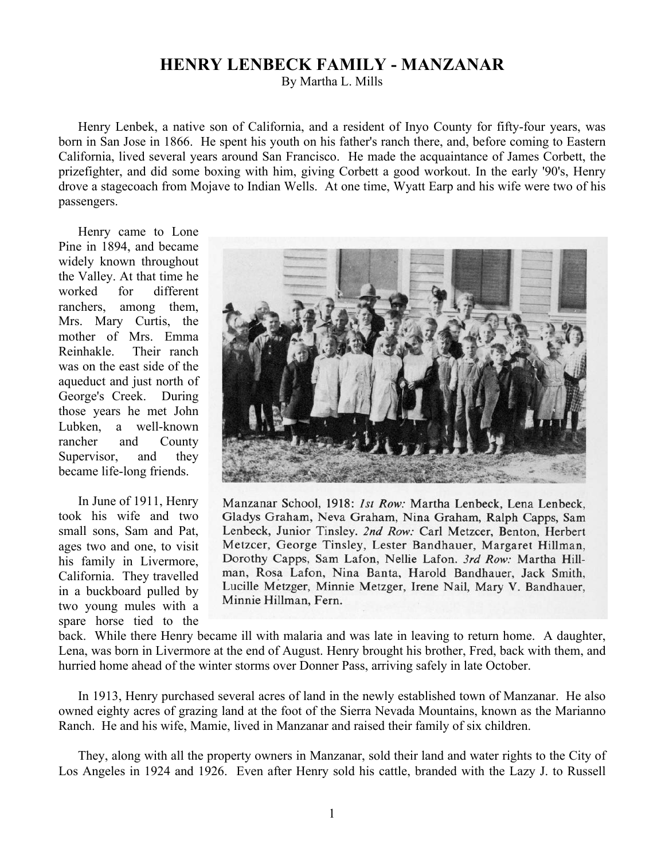## **HENRY LENBECK FAMILY - MANZANAR**

By Martha L. Mills

Henry Lenbek, a native son of California, and a resident of Inyo County for fifty-four years, was born in San Jose in 1866. He spent his youth on his father's ranch there, and, before coming to Eastern California, lived several years around San Francisco. He made the acquaintance of James Corbett, the prizefighter, and did some boxing with him, giving Corbett a good workout. In the early '90's, Henry drove a stagecoach from Mojave to Indian Wells. At one time, Wyatt Earp and his wife were two of his passengers.

Henry came to Lone Pine in 1894, and became widely known throughout the Valley. At that time he worked for different ranchers, among them, Mrs. Mary Curtis, the mother of Mrs. Emma Reinhakle. Their ranch was on the east side of the aqueduct and just north of George's Creek. During those years he met John Lubken, a well-known rancher and County Supervisor, and they became life-long friends.

In June of 1911, Henry took his wife and two small sons, Sam and Pat, ages two and one, to visit his family in Livermore, California. They travelled in a buckboard pulled by two young mules with a spare horse tied to the



Manzanar School, 1918: Ist Row: Martha Lenbeck, Lena Lenbeck, Gladys Graham, Neva Graham, Nina Graham, Ralph Capps, Sam Lenbeck, Junior Tinsley. 2nd Row: Carl Metzcer, Benton, Herbert Metzcer, George Tinsley, Lester Bandhauer, Margaret Hillman, Dorothy Capps, Sam Lafon, Nellie Lafon. 3rd Row: Martha Hillman, Rosa Lafon, Nina Banta, Harold Bandhauer, Jack Smith, Lucille Metzger, Minnie Metzger, Irene Nail, Mary V. Bandhauer, Minnie Hillman, Fern.

back. While there Henry became ill with malaria and was late in leaving to return home. A daughter, Lena, was born in Livermore at the end of August. Henry brought his brother, Fred, back with them, and hurried home ahead of the winter storms over Donner Pass, arriving safely in late October.

In 1913, Henry purchased several acres of land in the newly established town of Manzanar. He also owned eighty acres of grazing land at the foot of the Sierra Nevada Mountains, known as the Marianno Ranch. He and his wife, Mamie, lived in Manzanar and raised their family of six children.

They, along with all the property owners in Manzanar, sold their land and water rights to the City of Los Angeles in 1924 and 1926. Even after Henry sold his cattle, branded with the Lazy J. to Russell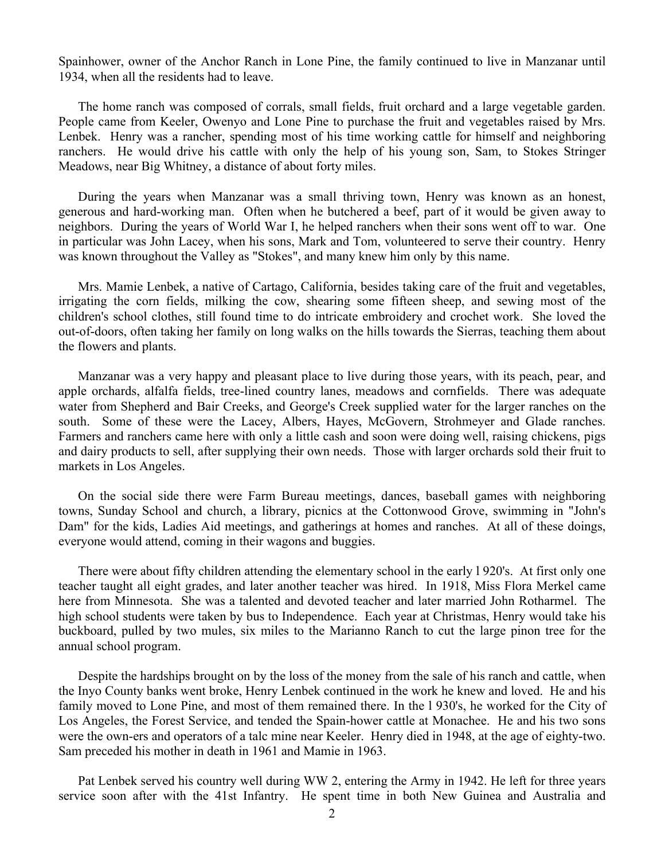Spainhower, owner of the Anchor Ranch in Lone Pine, the family continued to live in Manzanar until 1934, when all the residents had to leave.

The home ranch was composed of corrals, small fields, fruit orchard and a large vegetable garden. People came from Keeler, Owenyo and Lone Pine to purchase the fruit and vegetables raised by Mrs. Lenbek. Henry was a rancher, spending most of his time working cattle for himself and neighboring ranchers. He would drive his cattle with only the help of his young son, Sam, to Stokes Stringer Meadows, near Big Whitney, a distance of about forty miles.

During the years when Manzanar was a small thriving town, Henry was known as an honest, generous and hard-working man. Often when he butchered a beef, part of it would be given away to neighbors. During the years of World War I, he helped ranchers when their sons went off to war. One in particular was John Lacey, when his sons, Mark and Tom, volunteered to serve their country. Henry was known throughout the Valley as "Stokes", and many knew him only by this name.

Mrs. Mamie Lenbek, a native of Cartago, California, besides taking care of the fruit and vegetables, irrigating the corn fields, milking the cow, shearing some fifteen sheep, and sewing most of the children's school clothes, still found time to do intricate embroidery and crochet work. She loved the out-of-doors, often taking her family on long walks on the hills towards the Sierras, teaching them about the flowers and plants.

Manzanar was a very happy and pleasant place to live during those years, with its peach, pear, and apple orchards, alfalfa fields, tree-lined country lanes, meadows and cornfields. There was adequate water from Shepherd and Bair Creeks, and George's Creek supplied water for the larger ranches on the south. Some of these were the Lacey, Albers, Hayes, McGovern, Strohmeyer and Glade ranches. Farmers and ranchers came here with only a little cash and soon were doing well, raising chickens, pigs and dairy products to sell, after supplying their own needs. Those with larger orchards sold their fruit to markets in Los Angeles.

On the social side there were Farm Bureau meetings, dances, baseball games with neighboring towns, Sunday School and church, a library, picnics at the Cottonwood Grove, swimming in "John's Dam" for the kids, Ladies Aid meetings, and gatherings at homes and ranches. At all of these doings, everyone would attend, coming in their wagons and buggies.

There were about fifty children attending the elementary school in the early l 920's. At first only one teacher taught all eight grades, and later another teacher was hired. In 1918, Miss Flora Merkel came here from Minnesota. She was a talented and devoted teacher and later married John Rotharmel. The high school students were taken by bus to Independence. Each year at Christmas, Henry would take his buckboard, pulled by two mules, six miles to the Marianno Ranch to cut the large pinon tree for the annual school program.

Despite the hardships brought on by the loss of the money from the sale of his ranch and cattle, when the Inyo County banks went broke, Henry Lenbek continued in the work he knew and loved. He and his family moved to Lone Pine, and most of them remained there. In the l 930's, he worked for the City of Los Angeles, the Forest Service, and tended the Spain-hower cattle at Monachee. He and his two sons were the own-ers and operators of a talc mine near Keeler. Henry died in 1948, at the age of eighty-two. Sam preceded his mother in death in 1961 and Mamie in 1963.

Pat Lenbek served his country well during WW 2, entering the Army in 1942. He left for three years service soon after with the 41st Infantry. He spent time in both New Guinea and Australia and